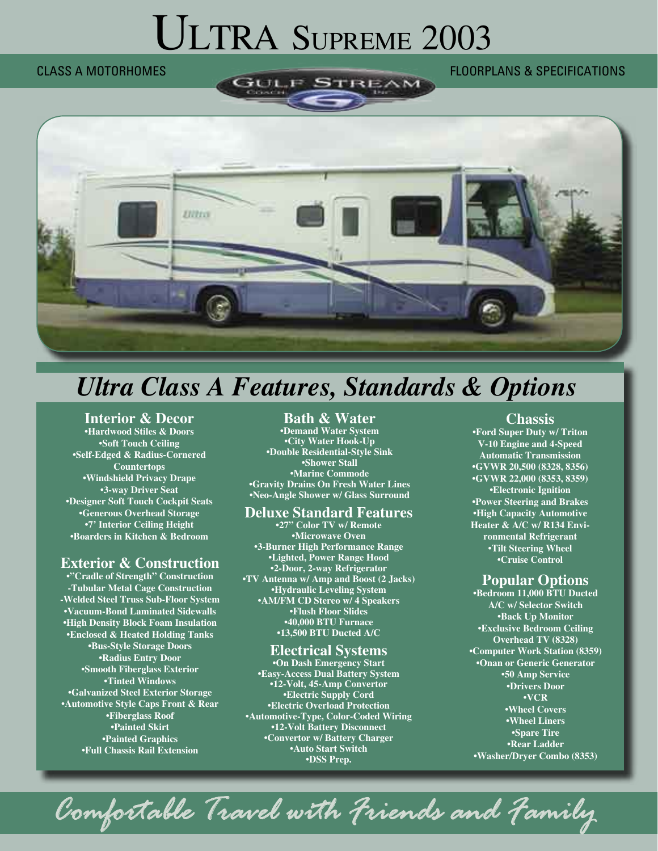# ULTRA SUPREME 2003

# CLASS A MOTORHOMES FLOORPLANS & SPECIFICATIONS



# *Ultra Class A Features, Standards & Options*

## **Interior & Decor**

**•Hardwood Stiles & Doors •Soft Touch Ceiling •Self-Edged & Radius-Cornered Countertops •Windshield Privacy Drape •3-way Driver Seat •Designer Soft Touch Cockpit Seats •Generous Overhead Storage •7' Interior Ceiling Height •Boarders in Kitchen & Bedroom**

# **Exterior & Construction**

**•"Cradle of Strength" Construction -Tubular Metal Cage Construction -Welded Steel Truss Sub-Floor System •Vacuum-Bond Laminated Sidewalls •High Density Block Foam Insulation •Enclosed & Heated Holding Tanks •Bus-Style Storage Doors •Radius Entry Door •Smooth Fiberglass Exterior •Tinted Windows •Galvanized Steel Exterior Storage •Automotive Style Caps Front & Rear •Fiberglass Roof •Painted Skirt •Painted Graphics •Full Chassis Rail Extension**

#### **Bath & Water**

**•Demand Water System •City Water Hook-Up •Double Residential-Style Sink •Shower Stall •Marine Commode •Gravity Drains On Fresh Water Lines •Neo-Angle Shower w/ Glass Surround**

#### **Deluxe Standard Features**

**•27" Color TV w/ Remote •Microwave Oven •3-Burner High Performance Range •Lighted, Power Range Hood •2-Door, 2-way Refrigerator •TV Antenna w/ Amp and Boost (2 Jacks) •Hydraulic Leveling System •AM/FM CD Stereo w/ 4 Speakers •Flush Floor Slides •40,000 BTU Furnace •13,500 BTU Ducted A/C**

#### **Electrical Systems**

**•On Dash Emergency Start •Easy-Access Dual Battery System •12-Volt, 45-Amp Convertor •Electric Supply Cord •Electric Overload Protection •Automotive-Type, Color-Coded Wiring •12-Volt Battery Disconnect •Convertor w/ Battery Charger •Auto Start Switch •DSS Prep.**

## **Chassis**

**•Ford Super Duty w/ Triton V-10 Engine and 4-Speed Automatic Transmission •GVWR 20,500 (8328, 8356) •GVWR 22,000 (8353, 8359) •Electronic Ignition •Power Steering and Brakes •High Capacity Automotive Heater & A/C w/ R134 Environmental Refrigerant •Tilt Steering Wheel •Cruise Control** 

## **Popular Options**

**•Bedroom 11,000 BTU Ducted A/C w/ Selector Switch •Back Up Monitor •Exclusive Bedroom Ceiling Overhead TV (8328) •Computer Work Station (8359) •Onan or Generic Generator •50 Amp Service •Drivers Door •VCR •Wheel Covers •Wheel Liners •Spare Tire •Rear Ladder •Washer/Dryer Combo (8353)**

*Comfortable Travel with Friends and Family*